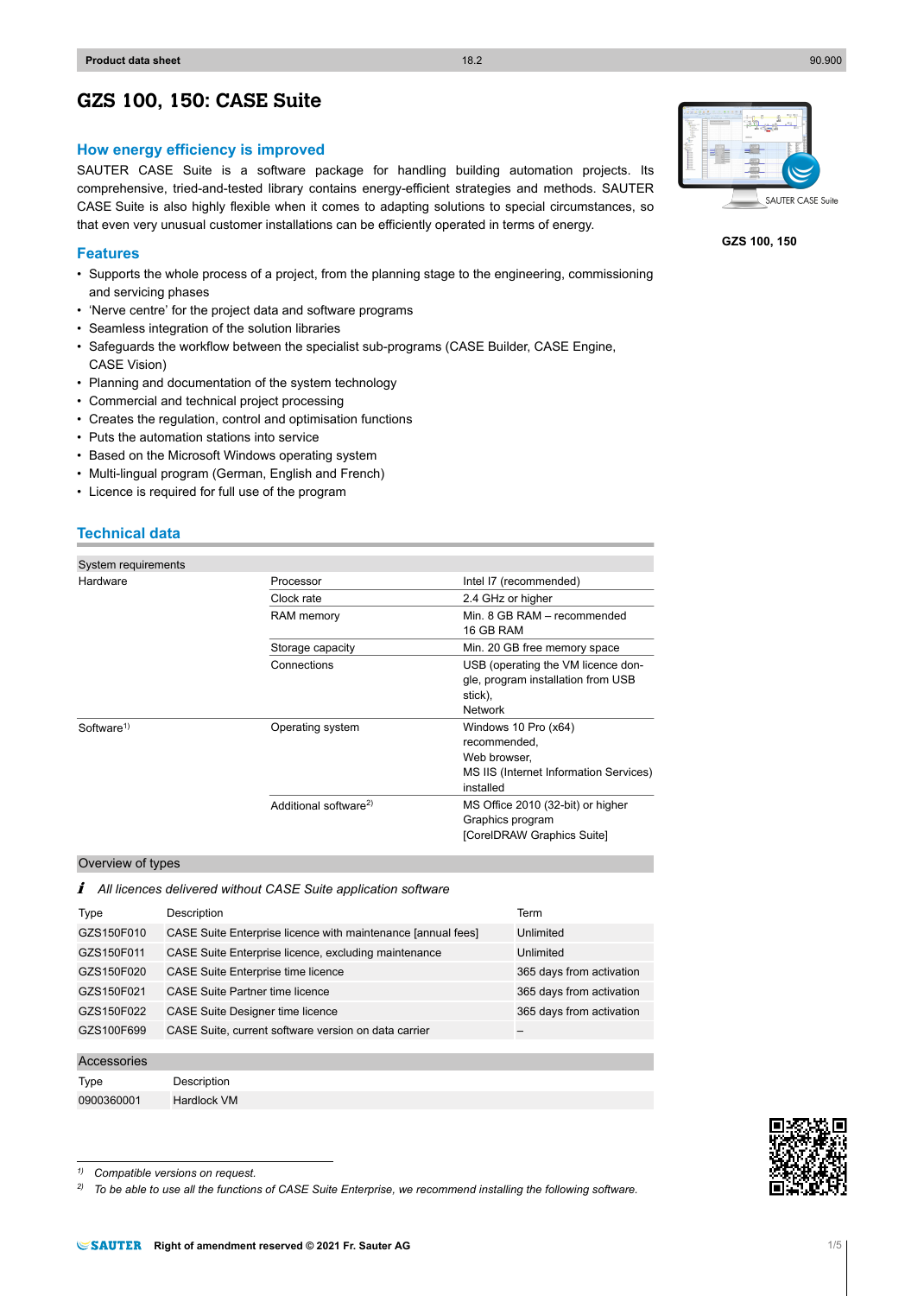# **GZS 100, 150: CASE Suite**

# **How energy efficiency is improved**

SAUTER CASE Suite is a software package for handling building automation projects. Its comprehensive, tried-and-tested library contains energy-efficient strategies and methods. SAUTER CASE Suite is also highly flexible when it comes to adapting solutions to special circumstances, so that even very unusual customer installations can be efficiently operated in terms of energy.

# **Features**

- Supports the whole process of a project, from the planning stage to the engineering, commissioning and servicing phases
- 'Nerve centre' for the project data and software programs
- Seamless integration of the solution libraries
- Safeguards the workflow between the specialist sub-programs (CASE Builder, CASE Engine, CASE Vision)
- Planning and documentation of the system technology
- Commercial and technical project processing
- Creates the regulation, control and optimisation functions
- Puts the automation stations into service
- Based on the Microsoft Windows operating system
- Multi-lingual program (German, English and French)
- Licence is required for full use of the program

# **Technical data**

| System requirements    |                                   |                                                                                                             |  |
|------------------------|-----------------------------------|-------------------------------------------------------------------------------------------------------------|--|
| Hardware               | Processor                         | Intel I7 (recommended)                                                                                      |  |
|                        | Clock rate                        | 2.4 GHz or higher                                                                                           |  |
|                        | RAM memory                        | Min. 8 GB RAM - recommended<br>16 GB RAM                                                                    |  |
|                        | Storage capacity                  | Min. 20 GB free memory space                                                                                |  |
|                        | Connections                       | USB (operating the VM licence don-<br>gle, program installation from USB<br>stick),<br>Network              |  |
| Software <sup>1)</sup> | Operating system                  | Windows 10 Pro (x64)<br>recommended,<br>Web browser.<br>MS IIS (Internet Information Services)<br>installed |  |
|                        | Additional software <sup>2)</sup> | MS Office 2010 (32-bit) or higher<br>Graphics program<br>[CorelDRAW Graphics Suite]                         |  |

# Overview of types

/ *All licences delivered without CASE Suite application software*

| Type       | Description                                                  | Term                     |
|------------|--------------------------------------------------------------|--------------------------|
| GZS150F010 | CASE Suite Enterprise licence with maintenance [annual fees] | Unlimited                |
| GZS150F011 | CASE Suite Enterprise licence, excluding maintenance         | Unlimited                |
| GZS150F020 | CASE Suite Enterprise time licence                           | 365 days from activation |
| GZS150F021 | CASE Suite Partner time licence                              | 365 days from activation |
| GZS150F022 | CASE Suite Designer time licence                             | 365 days from activation |
| GZS100F699 | CASE Suite, current software version on data carrier         |                          |
|            |                                                              |                          |

#### Accessories

Type Description 0900360001 Hardlock VM



*2) To be able to use all the functions of CASE Suite Enterprise, we recommend installing the following software.*



**GZS 100, 150**

*<sup>1)</sup> Compatible versions on request.*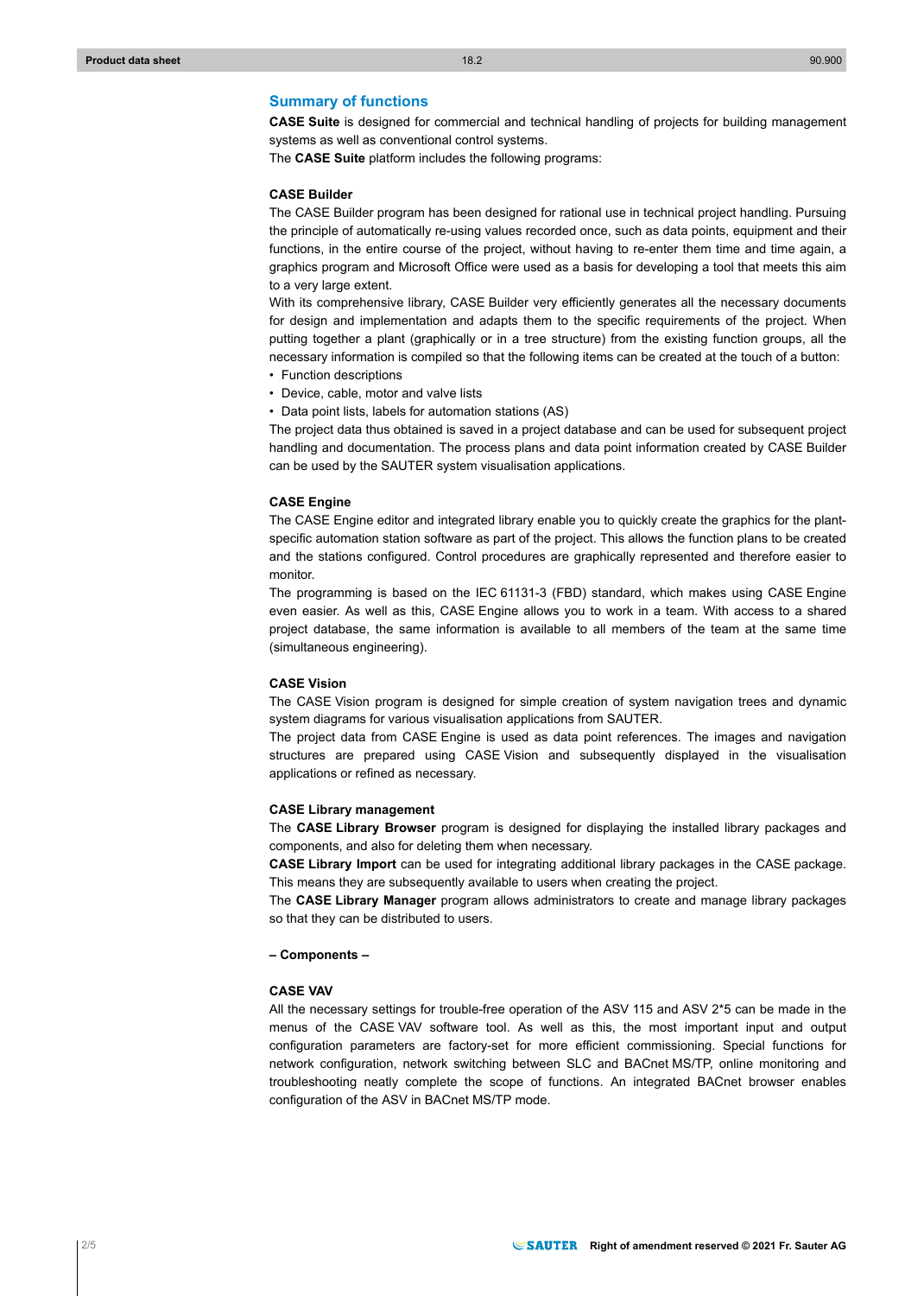## **Summary of functions**

**CASE Suite** is designed for commercial and technical handling of projects for building management systems as well as conventional control systems.

The **CASE Suite** platform includes the following programs:

## **CASE Builder**

The CASE Builder program has been designed for rational use in technical project handling. Pursuing the principle of automatically re-using values recorded once, such as data points, equipment and their functions, in the entire course of the project, without having to re-enter them time and time again, a graphics program and Microsoft Office were used as a basis for developing a tool that meets this aim to a very large extent.

With its comprehensive library, CASE Builder very efficiently generates all the necessary documents for design and implementation and adapts them to the specific requirements of the project. When putting together a plant (graphically or in a tree structure) from the existing function groups, all the necessary information is compiled so that the following items can be created at the touch of a button:

- Function descriptions
- Device, cable, motor and valve lists
- Data point lists, labels for automation stations (AS)

The project data thus obtained is saved in a project database and can be used for subsequent project handling and documentation. The process plans and data point information created by CASE Builder can be used by the SAUTER system visualisation applications.

## **CASE Engine**

The CASE Engine editor and integrated library enable you to quickly create the graphics for the plantspecific automation station software as part of the project. This allows the function plans to be created and the stations configured. Control procedures are graphically represented and therefore easier to monitor.

The programming is based on the IEC 61131-3 (FBD) standard, which makes using CASE Engine even easier. As well as this, CASE Engine allows you to work in a team. With access to a shared project database, the same information is available to all members of the team at the same time (simultaneous engineering).

## **CASE Vision**

The CASE Vision program is designed for simple creation of system navigation trees and dynamic system diagrams for various visualisation applications from SAUTER.

The project data from CASE Engine is used as data point references. The images and navigation structures are prepared using CASE Vision and subsequently displayed in the visualisation applications or refined as necessary.

#### **CASE Library management**

The **CASE Library Browser** program is designed for displaying the installed library packages and components, and also for deleting them when necessary.

**CASE Library Import** can be used for integrating additional library packages in the CASE package. This means they are subsequently available to users when creating the project.

The **CASE Library Manager** program allows administrators to create and manage library packages so that they can be distributed to users.

## **– Components –**

## **CASE VAV**

All the necessary settings for trouble-free operation of the ASV 115 and ASV 2\*5 can be made in the menus of the CASE VAV software tool. As well as this, the most important input and output configuration parameters are factory-set for more efficient commissioning. Special functions for network configuration, network switching between SLC and BACnet MS/TP, online monitoring and troubleshooting neatly complete the scope of functions. An integrated BACnet browser enables configuration of the ASV in BACnet MS/TP mode.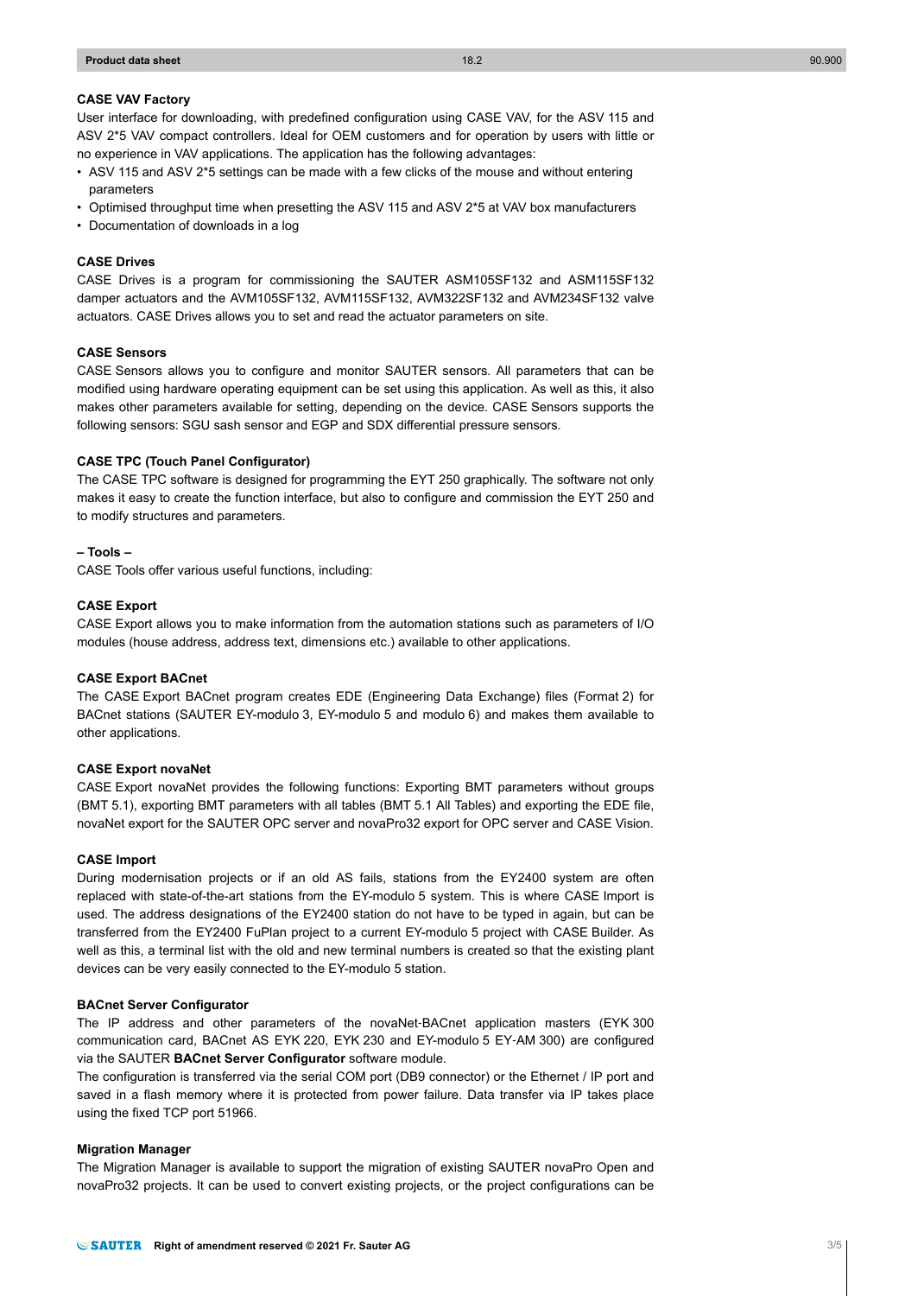## **CASE VAV Factory**

User interface for downloading, with predefined configuration using CASE VAV, for the ASV 115 and ASV 2\*5 VAV compact controllers. Ideal for OEM customers and for operation by users with little or no experience in VAV applications. The application has the following advantages:

- ASV 115 and ASV 2\*5 settings can be made with a few clicks of the mouse and without entering parameters
- Optimised throughput time when presetting the ASV 115 and ASV 2\*5 at VAV box manufacturers
- Documentation of downloads in a log

## **CASE Drives**

CASE Drives is a program for commissioning the SAUTER ASM105SF132 and ASM115SF132 damper actuators and the AVM105SF132, AVM115SF132, AVM322SF132 and AVM234SF132 valve actuators. CASE Drives allows you to set and read the actuator parameters on site.

#### **CASE Sensors**

CASE Sensors allows you to configure and monitor SAUTER sensors. All parameters that can be modified using hardware operating equipment can be set using this application. As well as this, it also makes other parameters available for setting, depending on the device. CASE Sensors supports the following sensors: SGU sash sensor and EGP and SDX differential pressure sensors.

#### **CASE TPC (Touch Panel Configurator)**

The CASE TPC software is designed for programming the EYT 250 graphically. The software not only makes it easy to create the function interface, but also to configure and commission the EYT 250 and to modify structures and parameters.

#### **– Tools –**

CASE Tools offer various useful functions, including:

## **CASE Export**

CASE Export allows you to make information from the automation stations such as parameters of I/O modules (house address, address text, dimensions etc.) available to other applications.

## **CASE Export BACnet**

The CASE Export BACnet program creates EDE (Engineering Data Exchange) files (Format 2) for BACnet stations (SAUTER EY-modulo 3, EY-modulo 5 and modulo 6) and makes them available to other applications.

## **CASE Export novaNet**

CASE Export novaNet provides the following functions: Exporting BMT parameters without groups (BMT 5.1), exporting BMT parameters with all tables (BMT 5.1 All Tables) and exporting the EDE file, novaNet export for the SAUTER OPC server and novaPro32 export for OPC server and CASE Vision.

#### **CASE Import**

During modernisation projects or if an old AS fails, stations from the EY2400 system are often replaced with state-of-the-art stations from the EY-modulo 5 system. This is where CASE Import is used. The address designations of the EY2400 station do not have to be typed in again, but can be transferred from the EY2400 FuPlan project to a current EY-modulo 5 project with CASE Builder. As well as this, a terminal list with the old and new terminal numbers is created so that the existing plant devices can be very easily connected to the EY-modulo 5 station.

#### **BACnet Server Configurator**

The IP address and other parameters of the novaNet-BACnet application masters (EYK 300 communication card, BACnet AS EYK 220, EYK 230 and EY-modulo 5 EY‑AM 300) are configured via the SAUTER **BACnet Server Configurator** software module.

The configuration is transferred via the serial COM port (DB9 connector) or the Ethernet / IP port and saved in a flash memory where it is protected from power failure. Data transfer via IP takes place using the fixed TCP port 51966.

#### **Migration Manager**

The Migration Manager is available to support the migration of existing SAUTER novaPro Open and novaPro32 projects. It can be used to convert existing projects, or the project configurations can be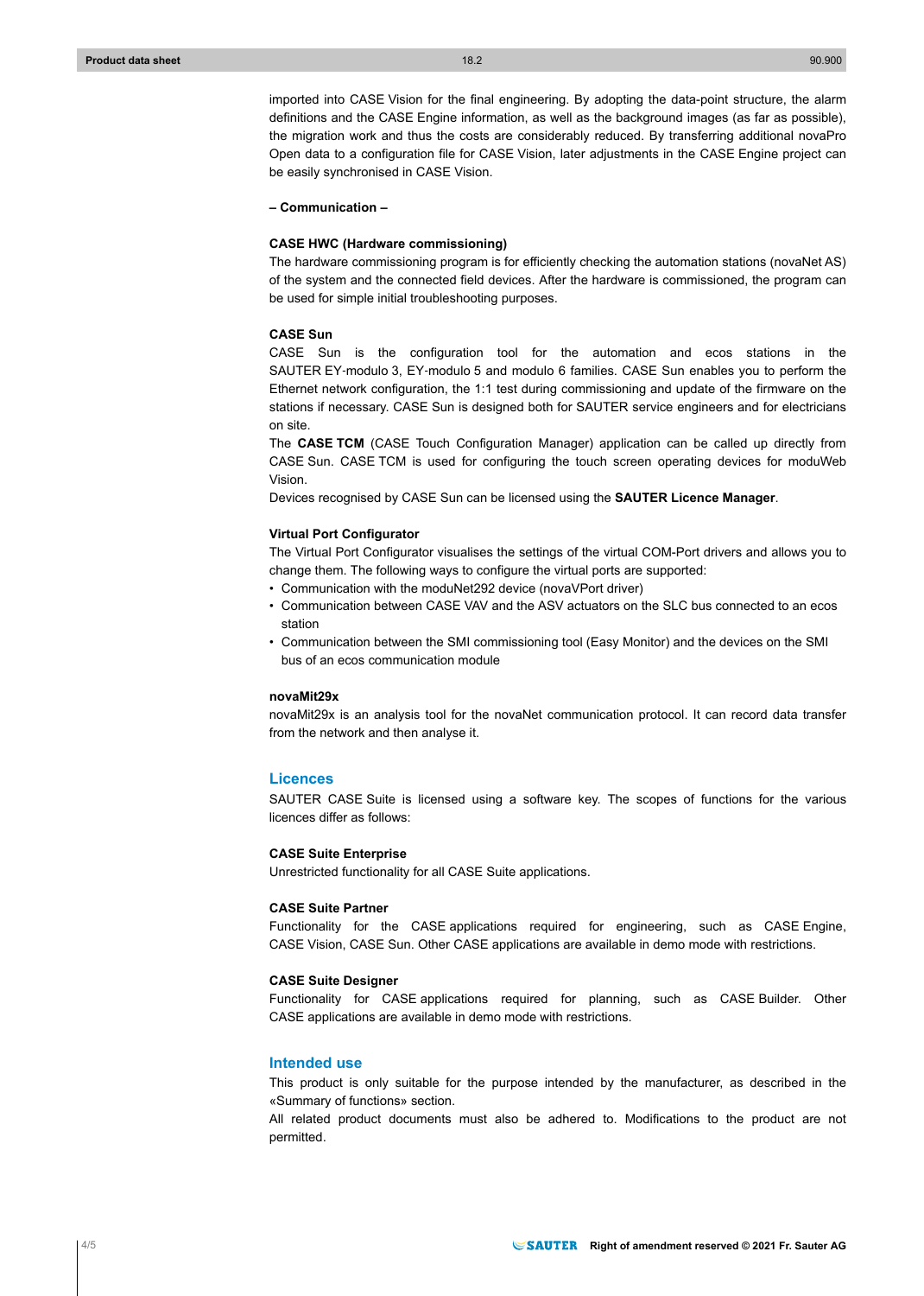imported into CASE Vision for the final engineering. By adopting the data-point structure, the alarm definitions and the CASE Engine information, as well as the background images (as far as possible), the migration work and thus the costs are considerably reduced. By transferring additional novaPro Open data to a configuration file for CASE Vision, later adjustments in the CASE Engine project can be easily synchronised in CASE Vision.

**– Communication –**

#### **CASE HWC (Hardware commissioning)**

The hardware commissioning program is for efficiently checking the automation stations (novaNet AS) of the system and the connected field devices. After the hardware is commissioned, the program can be used for simple initial troubleshooting purposes.

#### **CASE Sun**

CASE Sun is the configuration tool for the automation and ecos stations in the SAUTER EY‑modulo 3, EY‑modulo 5 and modulo 6 families. CASE Sun enables you to perform the Ethernet network configuration, the 1:1 test during commissioning and update of the firmware on the stations if necessary. CASE Sun is designed both for SAUTER service engineers and for electricians on site.

The **CASE TCM** (CASE Touch Configuration Manager) application can be called up directly from CASE Sun. CASE TCM is used for configuring the touch screen operating devices for moduWeb Vision.

Devices recognised by CASE Sun can be licensed using the **SAUTER Licence Manager**.

## **Virtual Port Configurator**

The Virtual Port Configurator visualises the settings of the virtual COM-Port drivers and allows you to change them. The following ways to configure the virtual ports are supported:

- Communication with the moduNet292 device (novaVPort driver)
- Communication between CASE VAV and the ASV actuators on the SLC bus connected to an ecos station
- Communication between the SMI commissioning tool (Easy Monitor) and the devices on the SMI bus of an ecos communication module

## **novaMit29x**

novaMit29x is an analysis tool for the novaNet communication protocol. It can record data transfer from the network and then analyse it.

#### **Licences**

SAUTER CASE Suite is licensed using a software key. The scopes of functions for the various licences differ as follows:

#### **CASE Suite Enterprise**

Unrestricted functionality for all CASE Suite applications.

## **CASE Suite Partner**

Functionality for the CASE applications required for engineering, such as CASE Engine, CASE Vision, CASE Sun. Other CASE applications are available in demo mode with restrictions.

## **CASE Suite Designer**

Functionality for CASE applications required for planning, such as CASE Builder. Other CASE applications are available in demo mode with restrictions.

## **Intended use**

This product is only suitable for the purpose intended by the manufacturer, as described in the «Summary of functions» section.

All related product documents must also be adhered to. Modifications to the product are not permitted.